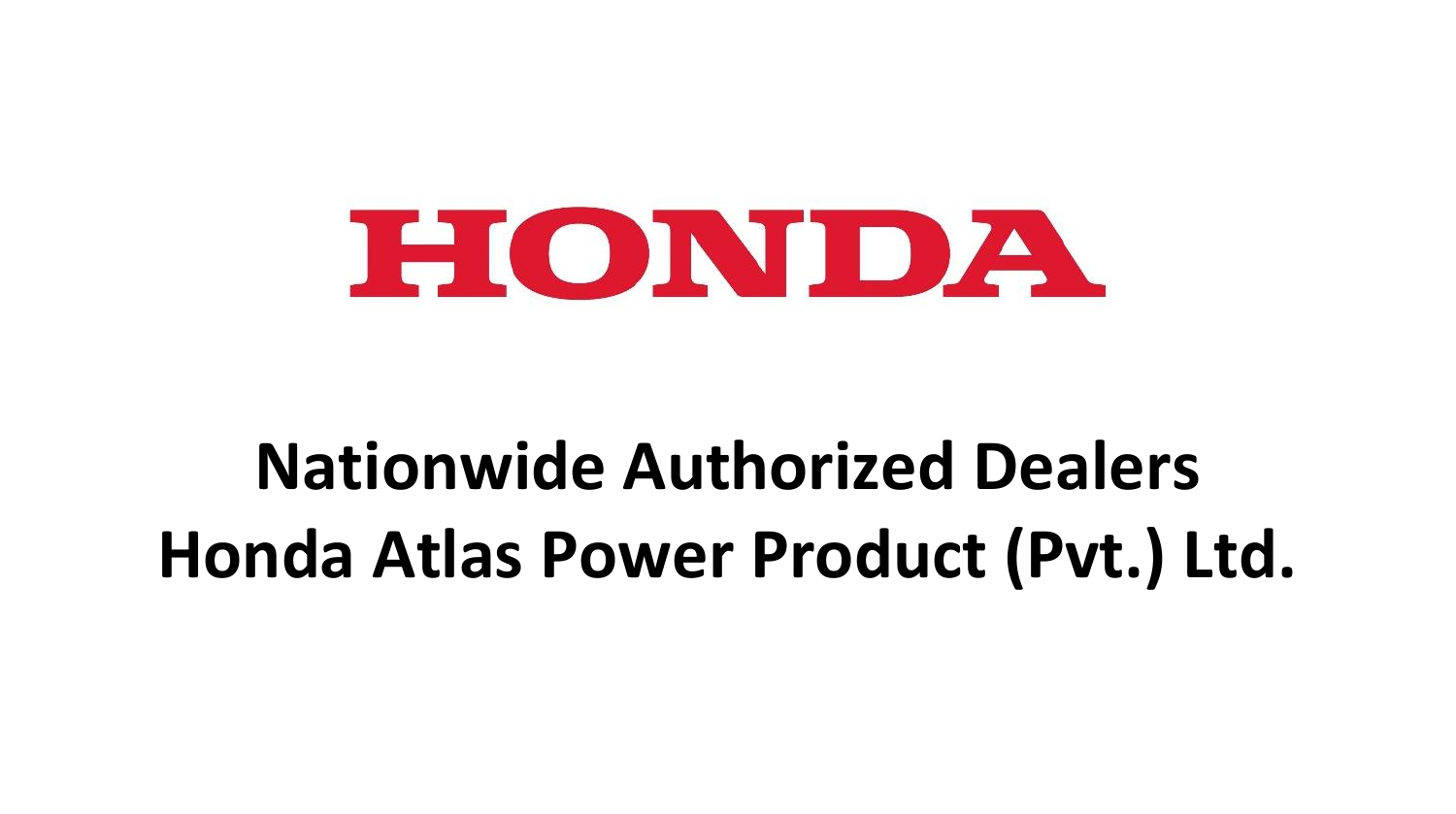

# **Nationwide Authorized Dealers Honda Atlas Power Product (Pvt.) Ltd.**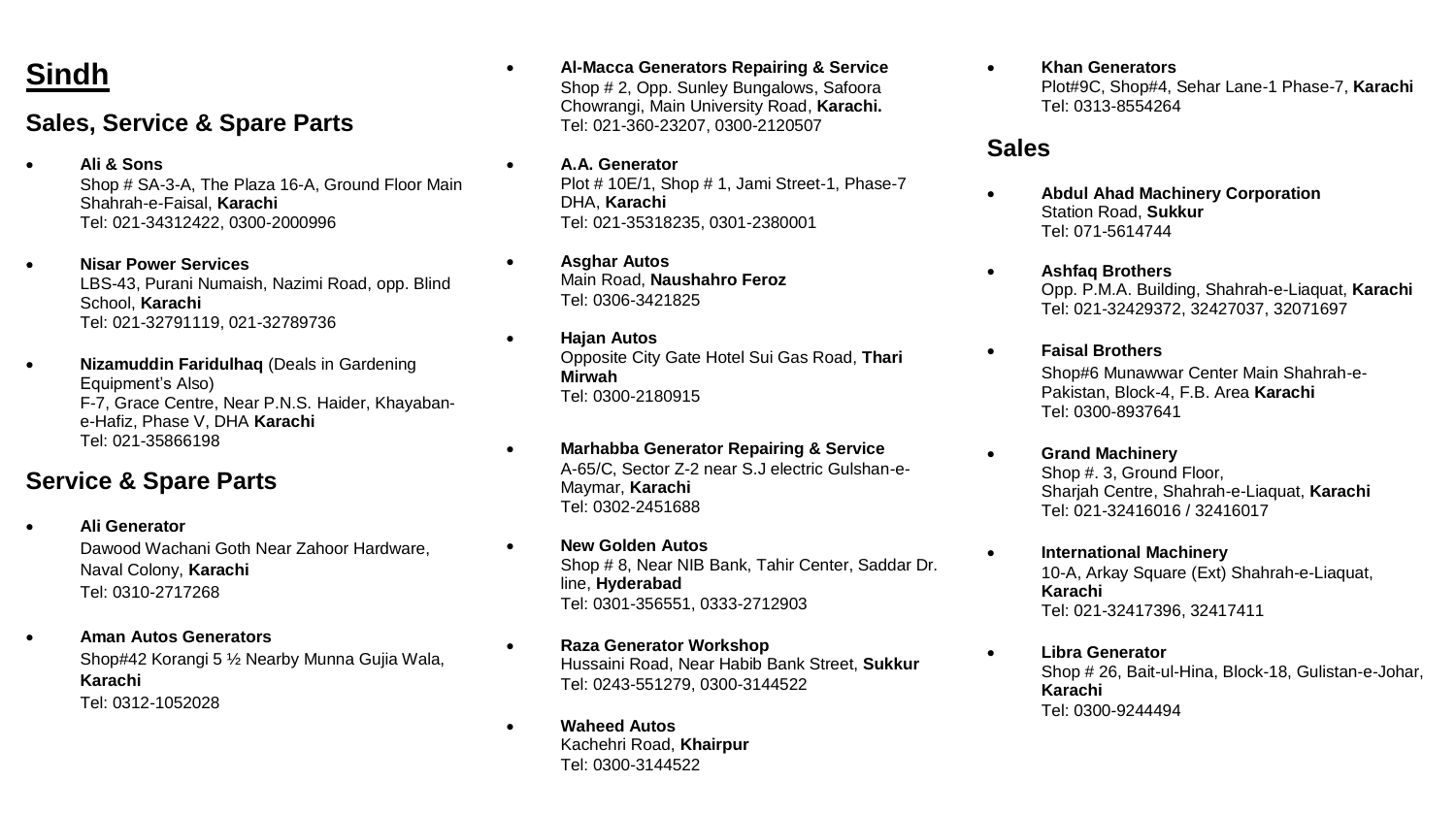# **Sindh**

## **Sales, Service & Spare Parts**

- **Ali & Sons** Shop # SA-3-A, The Plaza 16-A, Ground Floor Main Shahrah-e-Faisal, **Karachi** Tel: 021-34312422, 0300-2000996
- **Nisar Power Services** LBS-43, Purani Numaish, Nazimi Road, opp. Blind School, **Karachi** Tel: 021-32791119, 021-32789736
- **Nizamuddin Faridulhaq** (Deals in Gardening Equipment's Also) F-7, Grace Centre, Near P.N.S. Haider, Khayabane-Hafiz, Phase V, DHA **Karachi** Tel: 021-35866198

# **Service & Spare Parts**

- **Ali Generator**  Dawood Wachani Goth Near Zahoor Hardware, Naval Colony, **Karachi**  Tel: 0310-2717268
- **Aman Autos Generators** Shop#42 Korangi 5 ½ Nearby Munna Gujia Wala, **Karachi** Tel: 0312-1052028
- **Al-Macca Generators Repairing & Service** Shop # 2, Opp. Sunley Bungalows, Safoora Chowrangi, Main University Road, **Karachi.** Tel: 021-360-23207, 0300-2120507
- **A.A. Generator** Plot # 10E/1, Shop # 1, Jami Street-1, Phase-7 DHA, **Karachi**  Tel: 021-35318235, 0301-2380001
- **Asghar Autos**  Main Road, **Naushahro Feroz** Tel: 0306-3421825
- **Hajan Autos**  Opposite City Gate Hotel Sui Gas Road, **Thari Mirwah** Tel: 0300-2180915
- **Marhabba Generator Repairing & Service** A-65/C, Sector Z-2 near S.J electric Gulshan-e-Maymar, **Karachi** Tel: 0302-2451688
- **New Golden Autos** Shop # 8, Near NIB Bank, Tahir Center, Saddar Dr. line, **Hyderabad** Tel: 0301-356551, 0333-2712903
- **Raza Generator Workshop** Hussaini Road, Near Habib Bank Street, **Sukkur** Tel: 0243-551279, 0300-3144522
- **Waheed Autos** Kachehri Road, **Khairpur** Tel: 0300-3144522

 **Khan Generators**  Plot#9C, Shop#4, Sehar Lane-1 Phase-7, **Karachi** Tel: 0313-8554264

#### **Sales**

- **Abdul Ahad Machinery Corporation** Station Road, **Sukkur** Tel: 071-5614744
- **Ashfaq Brothers** Opp. P.M.A. Building, Shahrah-e-Liaquat, **Karachi** Tel: 021-32429372, 32427037, 32071697
- **Faisal Brothers** Shop#6 Munawwar Center Main Shahrah-e-Pakistan, Block-4, F.B. Area **Karachi**  Tel: 0300-8937641
	- **Grand Machinery** Shop #, 3, Ground Floor, Sharjah Centre, Shahrah-e-Liaquat, **Karachi** Tel: 021-32416016 / 32416017
- **International Machinery** 10-A, Arkay Square (Ext) Shahrah-e-Liaquat, **Karachi** Tel: 021-32417396, 32417411
	- **Libra Generator** Shop # 26, Bait-ul-Hina, Block-18, Gulistan-e-Johar, **Karachi**  Tel: 0300-9244494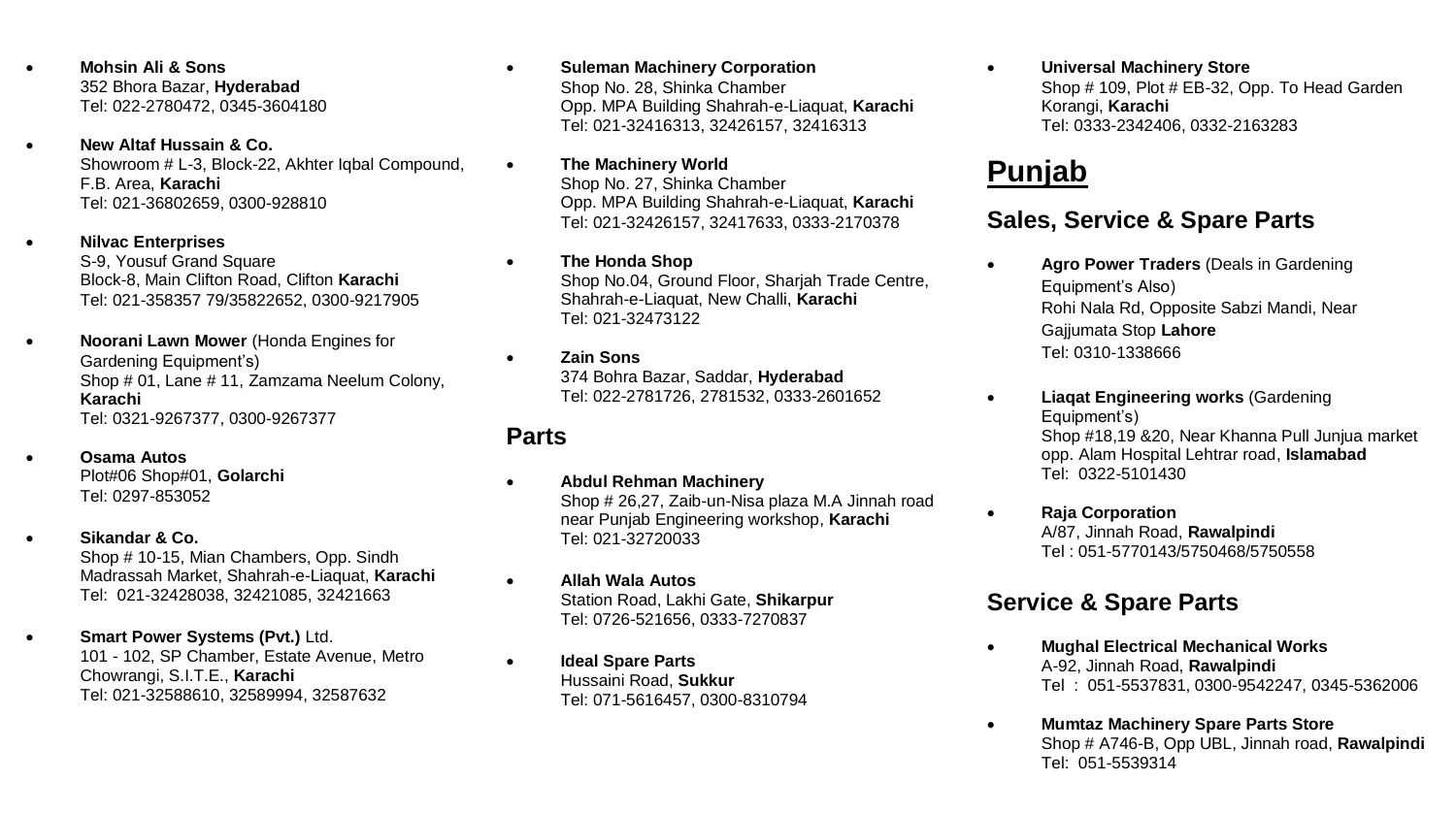- **Mohsin Ali & Sons** 352 Bhora Bazar, **Hyderabad** Tel: 022-2780472, 0345-3604180
- **New Altaf Hussain & Co.** Showroom # L-3, Block-22, Akhter Iqbal Compound, F.B. Area, **Karachi** Tel: 021-36802659, 0300-928810

 **Nilvac Enterprises** S-9, Yousuf Grand Square Block-8, Main Clifton Road, Clifton **Karachi** Tel: 021-358357 79/35822652, 0300-9217905

- **Noorani Lawn Mower** (Honda Engines for Gardening Equipment's) Shop # 01, Lane # 11, Zamzama Neelum Colony, **Karachi** Tel: 0321-9267377, 0300-9267377
	- **Osama Autos** Plot#06 Shop#01, **Golarchi** Tel: 0297-853052
- **Sikandar & Co.** Shop # 10-15, Mian Chambers, Opp. Sindh Madrassah Market, Shahrah-e-Liaquat, **Karachi**  Tel: 021-32428038, 32421085, 32421663
- **Smart Power Systems (Pvt.)** Ltd. 101 - 102, SP Chamber, Estate Avenue, Metro Chowrangi, S.I.T.E., **Karachi** Tel: 021-32588610, 32589994, 32587632

 **Suleman Machinery Corporation** Shop No. 28, Shinka Chamber Opp. MPA Building Shahrah-e-Liaquat, **Karachi** Tel: 021-32416313, 32426157, 32416313

- **The Machinery World** Shop No. 27, Shinka Chamber Opp. MPA Building Shahrah-e-Liaquat, **Karachi** Tel: 021-32426157, 32417633, 0333-2170378
	- **The Honda Shop** Shop No.04, Ground Floor, Shariah Trade Centre, Shahrah-e-Liaquat, New Challi, **Karachi**  Tel: 021-32473122

 **Zain Sons** 374 Bohra Bazar, Saddar, **Hyderabad** Tel: 022-2781726, 2781532, 0333-2601652

#### **Parts**

- **Abdul Rehman Machinery** Shop # 26,27, Zaib-un-Nisa plaza M.A Jinnah road near Punjab Engineering workshop, **Karachi** Tel: 021-32720033
- **Allah Wala Autos** Station Road, Lakhi Gate, **Shikarpur** Tel: 0726-521656, 0333-7270837
- **Ideal Spare Parts** Hussaini Road, **Sukkur** Tel: 071-5616457, 0300-8310794

 **Universal Machinery Store** Shop # 109, Plot # EB-32, Opp. To Head Garden Korangi, **Karachi** Tel: 0333-2342406, 0332-2163283

# **Punjab**

## **Sales, Service & Spare Parts**

- **Agro Power Traders** (Deals in Gardening Equipment's Also) Rohi Nala Rd, Opposite Sabzi Mandi, Near Gajjumata Stop **Lahore** Tel: 0310-1338666
- **Liaqat Engineering works** (Gardening Equipment's) Shop #18,19 &20, Near Khanna Pull Junjua market opp. Alam Hospital Lehtrar road, **Islamabad** Tel: 0322-5101430
- **Raja Corporation** A/87, Jinnah Road, **Rawalpindi** Tel : 051-5770143/5750468/5750558

# **Service & Spare Parts**

- **Mughal Electrical Mechanical Works** A-92, Jinnah Road, **Rawalpindi** Tel : 051-5537831, 0300-9542247, 0345-5362006
- **Mumtaz Machinery Spare Parts Store** Shop # A746-B, Opp UBL, Jinnah road, **Rawalpindi** Tel: 051-5539314